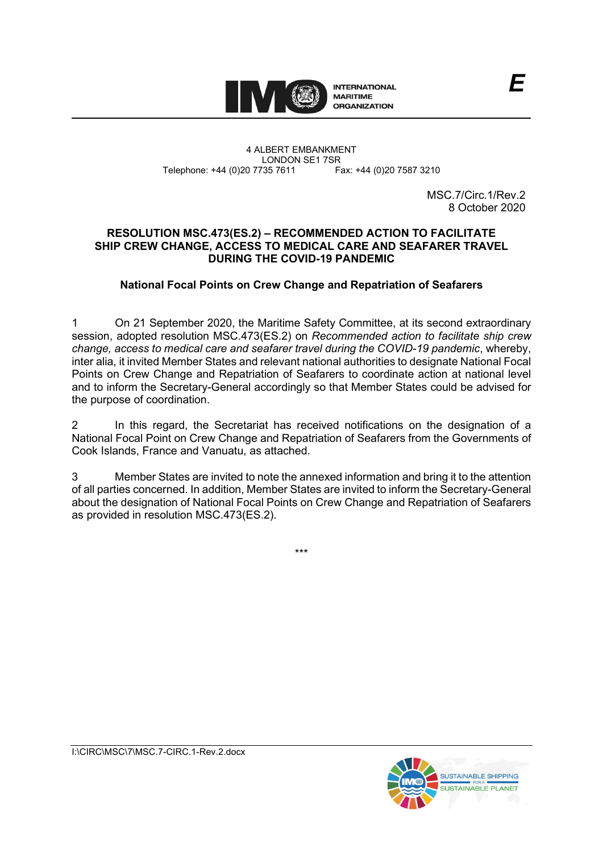

#### 4 ALBERT EMBANKMENT LONDON SE1 7SR<br>735 7611 Fax: +44 (0)20 7587 3210 Telephone: +44 (0)20 7735 7611

MSC.7/Circ.1/Rev.2 8 October 2020

# **RESOLUTION MSC.473(ES.2) – RECOMMENDED ACTION TO FACILITATE SHIP CREW CHANGE, ACCESS TO MEDICAL CARE AND SEAFARER TRAVEL DURING THE COVID-19 PANDEMIC**

# **National Focal Points on Crew Change and Repatriation of Seafarers**

1 On 21 September 2020, the Maritime Safety Committee, at its second extraordinary session, adopted resolution MSC.473(ES.2) on *Recommended action to facilitate ship crew change, access to medical care and seafarer travel during the COVID-19 pandemic*, whereby, inter alia, it invited Member States and relevant national authorities to designate National Focal Points on Crew Change and Repatriation of Seafarers to coordinate action at national level and to inform the Secretary-General accordingly so that Member States could be advised for the purpose of coordination.

2 In this regard, the Secretariat has received notifications on the designation of a National Focal Point on Crew Change and Repatriation of Seafarers from the Governments of Cook Islands, France and Vanuatu, as attached.

3 Member States are invited to note the annexed information and bring it to the attention of all parties concerned. In addition, Member States are invited to inform the Secretary-General about the designation of National Focal Points on Crew Change and Repatriation of Seafarers as provided in resolution MSC.473(ES.2).

\*\*\*